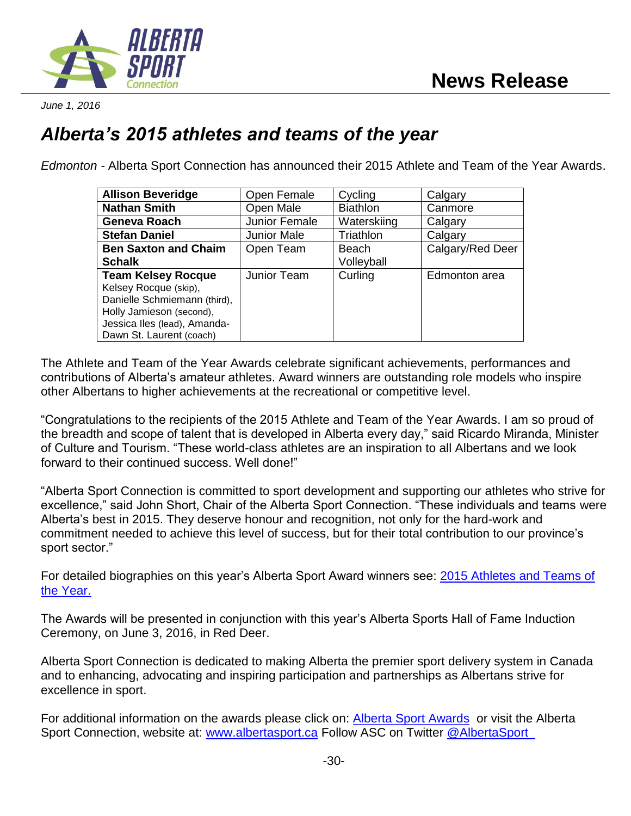

*June 1, 2016*

## *Alberta's 2015 athletes and teams of the year*

*Edmonton -* Alberta Sport Connection has announced their 2015 Athlete and Team of the Year Awards.

| <b>Allison Beveridge</b>     | Open Female   | Cycling         | Calgary          |
|------------------------------|---------------|-----------------|------------------|
| <b>Nathan Smith</b>          | Open Male     | <b>Biathlon</b> | Canmore          |
| Geneva Roach                 | Junior Female | Waterskiing     | Calgary          |
| <b>Stefan Daniel</b>         | Junior Male   | Triathlon       | Calgary          |
| <b>Ben Saxton and Chaim</b>  | Open Team     | Beach           | Calgary/Red Deer |
| <b>Schalk</b>                |               | Volleyball      |                  |
| <b>Team Kelsey Rocque</b>    | Junior Team   | Curling         | Edmonton area    |
| Kelsey Rocque (skip),        |               |                 |                  |
| Danielle Schmiemann (third), |               |                 |                  |
| Holly Jamieson (second),     |               |                 |                  |
| Jessica Iles (lead), Amanda- |               |                 |                  |
| Dawn St. Laurent (coach)     |               |                 |                  |

The Athlete and Team of the Year Awards celebrate significant achievements, performances and contributions of Alberta's amateur athletes. Award winners are outstanding role models who inspire other Albertans to higher achievements at the recreational or competitive level.

"Congratulations to the recipients of the 2015 Athlete and Team of the Year Awards. I am so proud of the breadth and scope of talent that is developed in Alberta every day," said Ricardo Miranda, Minister of Culture and Tourism. "These world-class athletes are an inspiration to all Albertans and we look forward to their continued success. Well done!"

"Alberta Sport Connection is committed to sport development and supporting our athletes who strive for excellence," said John Short, Chair of the Alberta Sport Connection. "These individuals and teams were Alberta's best in 2015. They deserve honour and recognition, not only for the hard-work and commitment needed to achieve this level of success, but for their total contribution to our province's sport sector."

For detailed biographies on this year's Alberta Sport Award winners see: [2015 Athletes and Teams of](http://www.albertasport.ca/media/393921/combined-bio.pdf)  [the Year.](http://www.albertasport.ca/media/393921/combined-bio.pdf)

The Awards will be presented in conjunction with this year's Alberta Sports Hall of Fame Induction Ceremony, on June 3, 2016, in Red Deer.

Alberta Sport Connection is dedicated to making Alberta the premier sport delivery system in Canada and to enhancing, advocating and inspiring participation and partnerships as Albertans strive for excellence in sport.

For additional information on the awards please click on: **Alberta Sport Awards** or visit the Alberta Sport Connection, website at: [www.albertasport.ca](http://www.albertasport.ca/) Follow ASC on Twitter @AlbertaSport